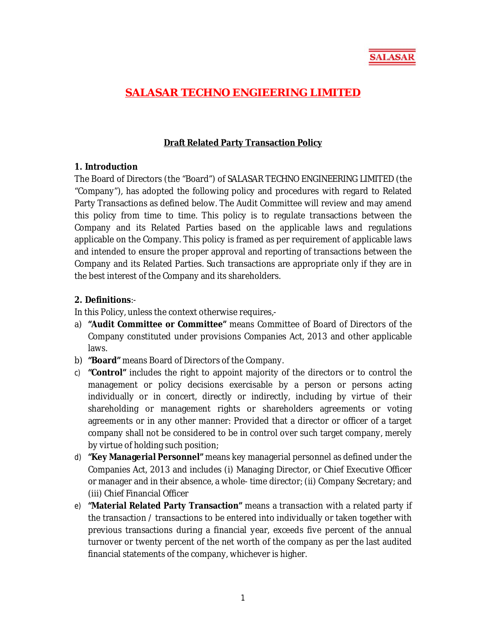

## **SALASAR TECHNO ENGIEERING LIMITED**

## **Draft Related Party Transaction Policy**

## **1. Introduction**

The Board of Directors (the "Board") of SALASAR TECHNO ENGINEERING LIMITED (the "Company"), has adopted the following policy and procedures with regard to Related Party Transactions as defined below. The Audit Committee will review and may amend this policy from time to time. This policy is to regulate transactions between the Company and its Related Parties based on the applicable laws and regulations applicable on the Company. This policy is framed as per requirement of applicable laws and intended to ensure the proper approval and reporting of transactions between the Company and its Related Parties. Such transactions are appropriate only if they are in the best interest of the Company and its shareholders.

## **2. Definitions**:-

In this Policy, unless the context otherwise requires,-

- a) **"Audit Committee or Committee"** means Committee of Board of Directors of the Company constituted under provisions Companies Act, 2013 and other applicable laws.
- b) **"Board"** means Board of Directors of the Company.
- c) **"Control"** includes the right to appoint majority of the directors or to control the management or policy decisions exercisable by a person or persons acting individually or in concert, directly or indirectly, including by virtue of their shareholding or management rights or shareholders agreements or voting agreements or in any other manner: Provided that a director or officer of a target company shall not be considered to be in control over such target company, merely by virtue of holding such position;
- d) **"Key Managerial Personnel"** means key managerial personnel as defined under the Companies Act, 2013 and includes (i) Managing Director, or Chief Executive Officer or manager and in their absence, a whole- time director; (ii) Company Secretary; and (iii) Chief Financial Officer
- e) **"Material Related Party Transaction"** means a transaction with a related party if the transaction / transactions to be entered into individually or taken together with previous transactions during a financial year, exceeds five percent of the annual turnover or twenty percent of the net worth of the company as per the last audited financial statements of the company, whichever is higher.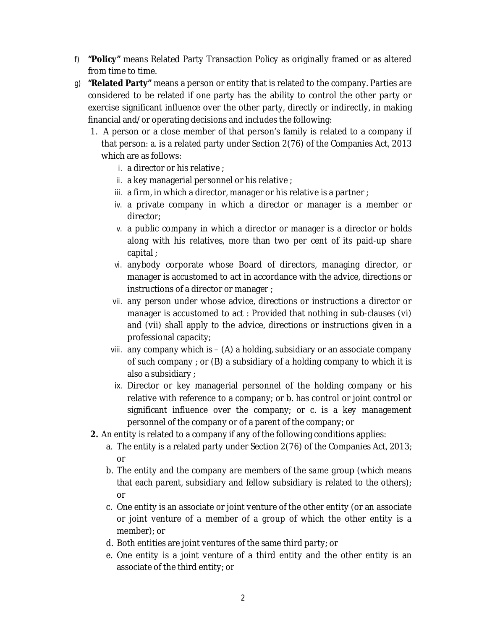- f) **"Policy"** means Related Party Transaction Policy as originally framed or as altered from time to time.
- g) **"Related Party"** means a person or entity that is related to the company. Parties are considered to be related if one party has the ability to control the other party or exercise significant influence over the other party, directly or indirectly, in making financial and/or operating decisions and includes the following:
	- 1. A person or a close member of that person's family is related to a company if that person: a. is a related party under Section 2(76) of the Companies Act, 2013 which are as follows:
		- i. a director or his relative ;
		- ii. a key managerial personnel or his relative ;
		- iii. a firm, in which a director, manager or his relative is a partner ;
		- iv. a private company in which a director or manager is a member or director;
		- v. a public company in which a director or manager is a director or holds along with his relatives, more than two per cent of its paid-up share capital ;
		- vi. anybody corporate whose Board of directors, managing director, or manager is accustomed to act in accordance with the advice, directions or instructions of a director or manager ;
		- vii. any person under whose advice, directions or instructions a director or manager is accustomed to act : Provided that nothing in sub-clauses (vi) and (vii) shall apply to the advice, directions or instructions given in a professional capacity;
		- viii. any company which is (A) a holding, subsidiary or an associate company of such company ; or (B) a subsidiary of a holding company to which it is also a subsidiary ;
		- ix. Director or key managerial personnel of the holding company or his relative with reference to a company; or b. has control or joint control or significant influence over the company; or c. is a key management personnel of the company or of a parent of the company; or
	- **2.** An entity is related to a company if any of the following conditions applies:
		- a. The entity is a related party under Section 2(76) of the Companies Act, 2013; or
		- b. The entity and the company are members of the same group (which means that each parent, subsidiary and fellow subsidiary is related to the others); or
		- c. One entity is an associate or joint venture of the other entity (or an associate or joint venture of a member of a group of which the other entity is a member); or
		- d. Both entities are joint ventures of the same third party; or
		- e. One entity is a joint venture of a third entity and the other entity is an associate of the third entity; or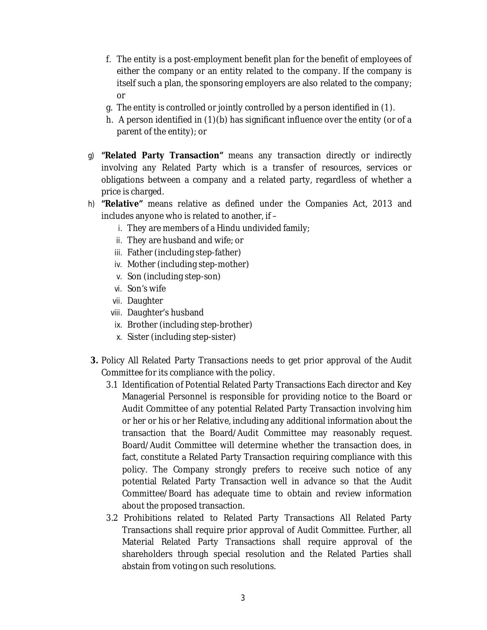- f. The entity is a post-employment benefit plan for the benefit of employees of either the company or an entity related to the company. If the company is itself such a plan, the sponsoring employers are also related to the company; or
- g. The entity is controlled or jointly controlled by a person identified in (1).
- h. A person identified in (1)(b) has significant influence over the entity (or of a parent of the entity); or
- g) **"Related Party Transaction"** means any transaction directly or indirectly involving any Related Party which is a transfer of resources, services or obligations between a company and a related party, regardless of whether a price is charged.
- h) **"Relative"** means relative as defined under the Companies Act, 2013 and includes anyone who is related to another, if –
	- i. They are members of a Hindu undivided family;
	- ii. They are husband and wife; or
	- iii. Father (including step-father)
	- iv. Mother (including step-mother)
	- v. Son (including step-son)
	- vi. Son's wife
	- vii. Daughter
	- viii. Daughter's husband
	- ix. Brother (including step-brother)
	- x. Sister (including step-sister)
- **3.** Policy All Related Party Transactions needs to get prior approval of the Audit Committee for its compliance with the policy.
	- 3.1 Identification of Potential Related Party Transactions Each director and Key Managerial Personnel is responsible for providing notice to the Board or Audit Committee of any potential Related Party Transaction involving him or her or his or her Relative, including any additional information about the transaction that the Board/Audit Committee may reasonably request. Board/Audit Committee will determine whether the transaction does, in fact, constitute a Related Party Transaction requiring compliance with this policy. The Company strongly prefers to receive such notice of any potential Related Party Transaction well in advance so that the Audit Committee/Board has adequate time to obtain and review information about the proposed transaction.
	- 3.2 Prohibitions related to Related Party Transactions All Related Party Transactions shall require prior approval of Audit Committee. Further, all Material Related Party Transactions shall require approval of the shareholders through special resolution and the Related Parties shall abstain from voting on such resolutions.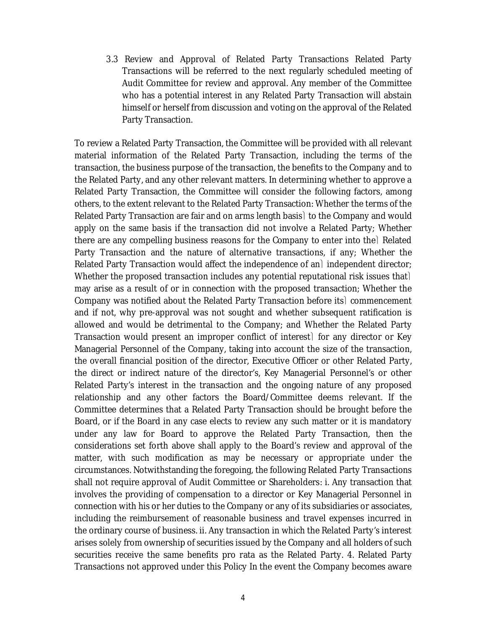3.3 Review and Approval of Related Party Transactions Related Party Transactions will be referred to the next regularly scheduled meeting of Audit Committee for review and approval. Any member of the Committee who has a potential interest in any Related Party Transaction will abstain himself or herself from discussion and voting on the approval of the Related Party Transaction.

To review a Related Party Transaction, the Committee will be provided with all relevant material information of the Related Party Transaction, including the terms of the transaction, the business purpose of the transaction, the benefits to the Company and to the Related Party, and any other relevant matters. In determining whether to approve a Related Party Transaction, the Committee will consider the following factors, among others, to the extent relevant to the Related Party Transaction: Whether the terms of the Related Party Transaction are fair and on arms length basis to the Company and would apply on the same basis if the transaction did not involve a Related Party; Whether there are any compelling business reasons for the Company to enter into the Related Party Transaction and the nature of alternative transactions, if any; Whether the Related Party Transaction would affect the independence of an independent director; Whether the proposed transaction includes any potential reputational risk issues that may arise as a result of or in connection with the proposed transaction; Whether the Company was notified about the Related Party Transaction before its commencement and if not, why pre-approval was not sought and whether subsequent ratification is allowed and would be detrimental to the Company; and Whether the Related Party Transaction would present an improper conflict of interest) for any director or Key Managerial Personnel of the Company, taking into account the size of the transaction, the overall financial position of the director, Executive Officer or other Related Party, the direct or indirect nature of the director's, Key Managerial Personnel's or other Related Party's interest in the transaction and the ongoing nature of any proposed relationship and any other factors the Board/Committee deems relevant. If the Committee determines that a Related Party Transaction should be brought before the Board, or if the Board in any case elects to review any such matter or it is mandatory under any law for Board to approve the Related Party Transaction, then the considerations set forth above shall apply to the Board's review and approval of the matter, with such modification as may be necessary or appropriate under the circumstances. Notwithstanding the foregoing, the following Related Party Transactions shall not require approval of Audit Committee or Shareholders: i. Any transaction that involves the providing of compensation to a director or Key Managerial Personnel in connection with his or her duties to the Company or any of its subsidiaries or associates, including the reimbursement of reasonable business and travel expenses incurred in the ordinary course of business. ii. Any transaction in which the Related Party's interest arises solely from ownership of securities issued by the Company and all holders of such securities receive the same benefits pro rata as the Related Party. 4. Related Party Transactions not approved under this Policy In the event the Company becomes aware